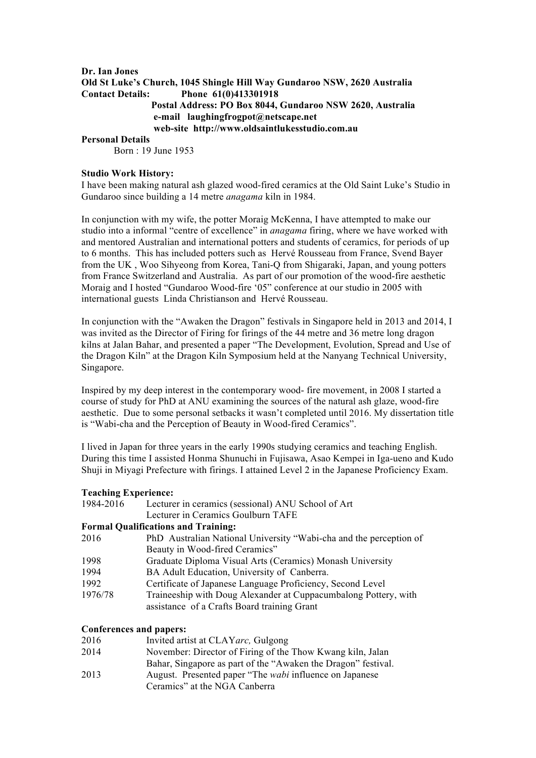# **Dr. Ian Jones Old St Luke's Church, 1045 Shingle Hill Way Gundaroo NSW, 2620 Australia Contact Details: Phone 61(0)413301918 Postal Address: PO Box 8044, Gundaroo NSW 2620, Australia e-mail laughingfrogpot@netscape.net web-site http://www.oldsaintlukesstudio.com.au Personal Details**

Born : 19 June 1953

#### **Studio Work History:**

I have been making natural ash glazed wood-fired ceramics at the Old Saint Luke's Studio in Gundaroo since building a 14 metre *anagama* kiln in 1984.

In conjunction with my wife, the potter Moraig McKenna, I have attempted to make our studio into a informal "centre of excellence" in *anagama* firing, where we have worked with and mentored Australian and international potters and students of ceramics, for periods of up to 6 months. This has included potters such as Hervé Rousseau from France, Svend Bayer from the UK , Woo Sihyeong from Korea, Tani-Q from Shigaraki, Japan, and young potters from France Switzerland and Australia. As part of our promotion of the wood-fire aesthetic Moraig and I hosted "Gundaroo Wood-fire '05" conference at our studio in 2005 with international guests Linda Christianson and Hervé Rousseau.

In conjunction with the "Awaken the Dragon" festivals in Singapore held in 2013 and 2014, I was invited as the Director of Firing for firings of the 44 metre and 36 metre long dragon kilns at Jalan Bahar, and presented a paper "The Development, Evolution, Spread and Use of the Dragon Kiln" at the Dragon Kiln Symposium held at the Nanyang Technical University, Singapore.

Inspired by my deep interest in the contemporary wood- fire movement, in 2008 I started a course of study for PhD at ANU examining the sources of the natural ash glaze, wood-fire aesthetic. Due to some personal setbacks it wasn't completed until 2016. My dissertation title is "Wabi-cha and the Perception of Beauty in Wood-fired Ceramics".

I lived in Japan for three years in the early 1990s studying ceramics and teaching English. During this time I assisted Honma Shunuchi in Fujisawa, Asao Kempei in Iga-ueno and Kudo Shuji in Miyagi Prefecture with firings. I attained Level 2 in the Japanese Proficiency Exam.

#### **Teaching Experience:**

| 1984-2016 | Lecturer in ceramics (sessional) ANU School of Art                    |
|-----------|-----------------------------------------------------------------------|
|           | Lecturer in Ceramics Goulburn TAFE                                    |
|           | <b>Formal Qualifications and Training:</b>                            |
| 2016      | PhD Australian National University "Wabi-cha and the perception of    |
|           | Beauty in Wood-fired Ceramics"                                        |
| 1000      | $C = 1, 1, 1, \ldots, N$ , $U = 1, 1, \ldots, C = 1, M, \ldots, 1, T$ |

- 1998 Graduate Diploma Visual Arts (Ceramics) Monash University
- 1994 BA Adult Education, University of Canberra.
- 1992 Certificate of Japanese Language Proficiency, Second Level
- 1976/78 Traineeship with Doug Alexander at Cuppacumbalong Pottery, with assistance of a Crafts Board training Grant

#### **Conferences and papers:**

| 2016 | Invited artist at CLAY <i>arc</i> , Gulgong                     |
|------|-----------------------------------------------------------------|
| 2014 | November: Director of Firing of the Thow Kwang kiln, Jalan      |
|      | Bahar, Singapore as part of the "Awaken the Dragon" festival.   |
| 2013 | August. Presented paper "The <i>wabi</i> influence on Japanese" |
|      | Ceramics" at the NGA Canberra                                   |